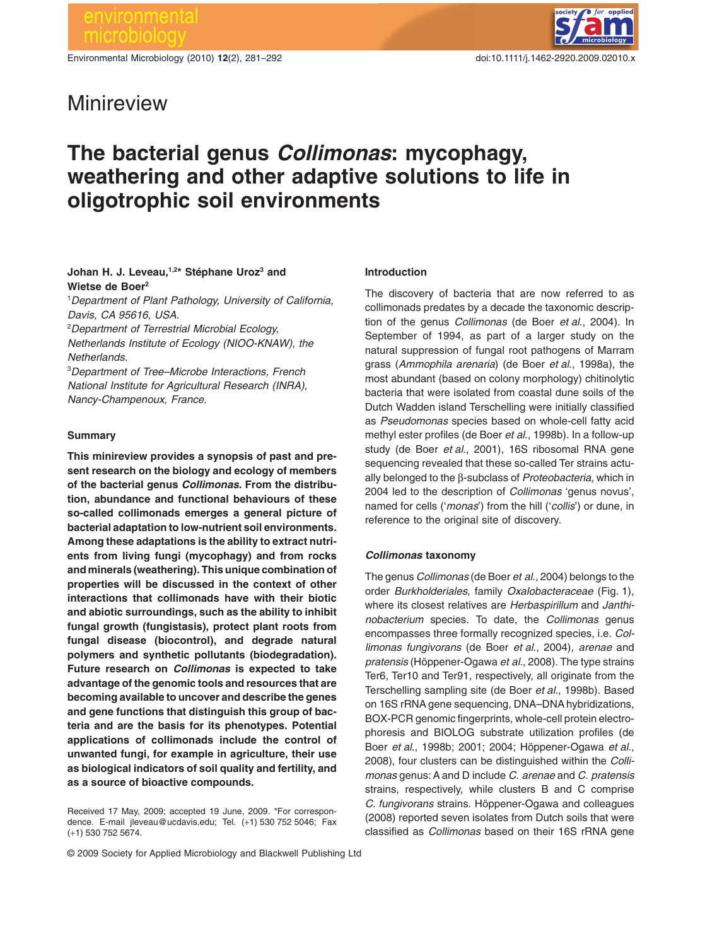Environmental Microbiology (2010) **12**(2), 281–292 doi:10.1111/j.1462-2920.2009.02010.x



# **Minireview**

# **The bacterial genus** *Collimonas***: mycophagy, weathering and other adaptive solutions to life in oligotrophic soil environments**

# **Johan H. J. Leveau,1,2\* Stéphane Uroz3 and Wietse de Boer2**

1 *Department of Plant Pathology, University of California, Davis, CA 95616, USA.*

2 *Department of Terrestrial Microbial Ecology, Netherlands Institute of Ecology (NIOO-KNAW), the Netherlands.*

3 *Department of Tree–Microbe Interactions, French National Institute for Agricultural Research (INRA), Nancy-Champenoux, France.*

# **Summary**

**This minireview provides a synopsis of past and present research on the biology and ecology of members of the bacterial genus** *Collimonas***. From the distribution, abundance and functional behaviours of these so-called collimonads emerges a general picture of bacterial adaptation to low-nutrient soil environments. Among these adaptations is the ability to extract nutrients from living fungi (mycophagy) and from rocks and minerals (weathering). This unique combination of properties will be discussed in the context of other interactions that collimonads have with their biotic and abiotic surroundings, such as the ability to inhibit fungal growth (fungistasis), protect plant roots from fungal disease (biocontrol), and degrade natural polymers and synthetic pollutants (biodegradation). Future research on** *Collimonas* **is expected to take advantage of the genomic tools and resources that are becoming available to uncover and describe the genes and gene functions that distinguish this group of bacteria and are the basis for its phenotypes. Potential applications of collimonads include the control of unwanted fungi, for example in agriculture, their use as biological indicators of soil quality and fertility, and as a source of bioactive compounds.**

### **Introduction**

The discovery of bacteria that are now referred to as collimonads predates by a decade the taxonomic description of the genus *Collimonas* (de Boer *et al*., 2004). In September of 1994, as part of a larger study on the natural suppression of fungal root pathogens of Marram grass (*Ammophila arenaria*) (de Boer *et al*., 1998a), the most abundant (based on colony morphology) chitinolytic bacteria that were isolated from coastal dune soils of the Dutch Wadden island Terschelling were initially classified as *Pseudomonas* species based on whole-cell fatty acid methyl ester profiles (de Boer *et al*., 1998b). In a follow-up study (de Boer *et al*., 2001), 16S ribosomal RNA gene sequencing revealed that these so-called Ter strains actually belonged to the b-subclass of *Proteobacteria*, which in 2004 led to the description of *Collimonas* 'genus novus', named for cells ('*monas*') from the hill ('*collis*') or dune, in reference to the original site of discovery.

### *Collimonas* **taxonomy**

The genus *Collimonas* (de Boer *et al*., 2004) belongs to the order *Burkholderiales*, family *Oxalobacteraceae* (Fig. 1), where its closest relatives are *Herbaspirillum* and *Janthinobacterium* species. To date, the *Collimonas* genus encompasses three formally recognized species, i.e. *Collimonas fungivorans* (de Boer *et al*., 2004), *arenae* and *pratensis* (Höppener-Ogawa *et al*., 2008). The type strains Ter6, Ter10 and Ter91, respectively, all originate from the Terschelling sampling site (de Boer *et al*., 1998b). Based on 16S rRNA gene sequencing, DNA–DNA hybridizations, BOX-PCR genomic fingerprints, whole-cell protein electrophoresis and BIOLOG substrate utilization profiles (de Boer *et al*., 1998b; 2001; 2004; Höppener-Ogawa *et al*., 2008), four clusters can be distinguished within the *Collimonas* genus: A and D include *C. arenae* and *C. pratensis* strains, respectively, while clusters B and C comprise *C. fungivorans* strains. Höppener-Ogawa and colleagues (2008) reported seven isolates from Dutch soils that were classified as *Collimonas* based on their 16S rRNA gene

Received 17 May, 2009; accepted 19 June, 2009. \*For correspondence. E-mail [jleveau@ucdavis.edu;](mailto:jleveau@ucdavis.edu) Tel. (+1) 530 752 5046; Fax (+1) 530 752 5674.

<sup>© 2009</sup> Society for Applied Microbiology and Blackwell Publishing Ltd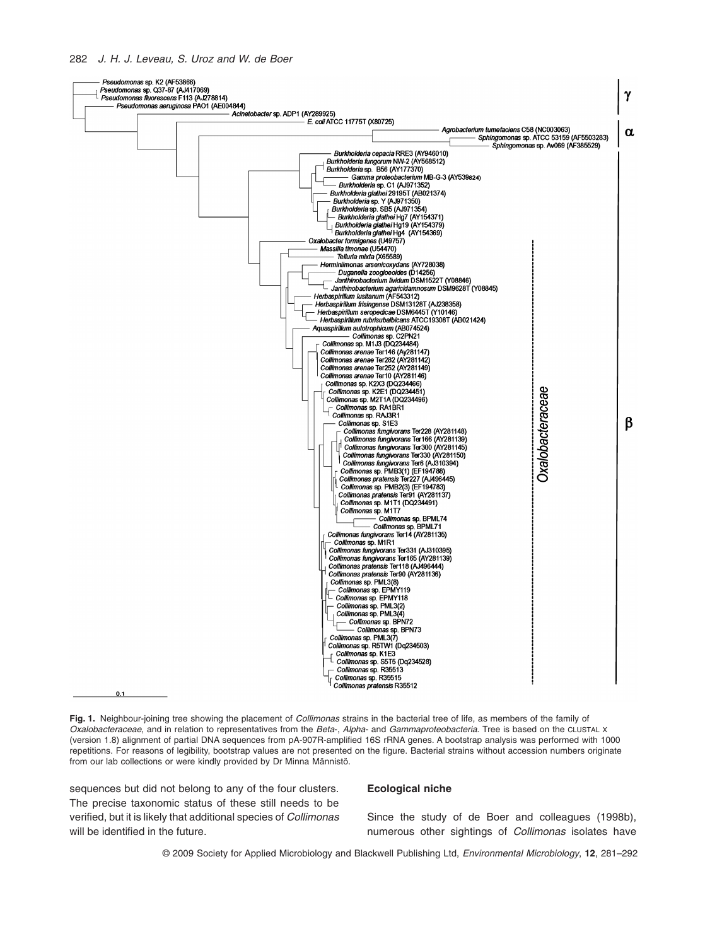

**Fig. 1.** Neighbour-joining tree showing the placement of *Collimonas* strains in the bacterial tree of life, as members of the family of *Oxalobacteraceae*, and in relation to representatives from the *Beta*-, *Alpha*- and *Gammaproteobacteria*. Tree is based on the CLUSTAL X (version 1.8) alignment of partial DNA sequences from pA-907R-amplified 16S rRNA genes. A bootstrap analysis was performed with 1000 repetitions. For reasons of legibility, bootstrap values are not presented on the figure. Bacterial strains without accession numbers originate from our lab collections or were kindly provided by Dr Minna Männistö.

sequences but did not belong to any of the four clusters. The precise taxonomic status of these still needs to be verified, but it is likely that additional species of *Collimonas* will be identified in the future.

## **Ecological niche**

Since the study of de Boer and colleagues (1998b), numerous other sightings of *Collimonas* isolates have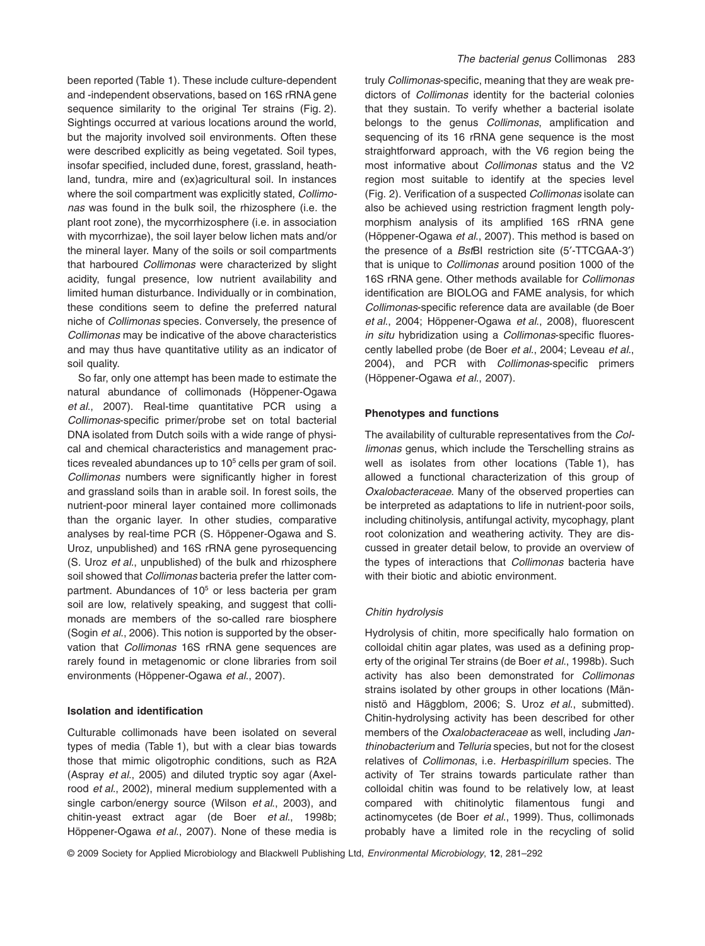been reported (Table 1). These include culture-dependent and -independent observations, based on 16S rRNA gene sequence similarity to the original Ter strains (Fig. 2). Sightings occurred at various locations around the world, but the majority involved soil environments. Often these were described explicitly as being vegetated. Soil types, insofar specified, included dune, forest, grassland, heathland, tundra, mire and (ex)agricultural soil. In instances where the soil compartment was explicitly stated, *Collimonas* was found in the bulk soil, the rhizosphere (i.e. the plant root zone), the mycorrhizosphere (i.e. in association with mycorrhizae), the soil layer below lichen mats and/or the mineral layer. Many of the soils or soil compartments that harboured *Collimonas* were characterized by slight acidity, fungal presence, low nutrient availability and limited human disturbance. Individually or in combination, these conditions seem to define the preferred natural niche of *Collimonas* species. Conversely, the presence of *Collimonas* may be indicative of the above characteristics and may thus have quantitative utility as an indicator of soil quality.

So far, only one attempt has been made to estimate the natural abundance of collimonads (Höppener-Ogawa *et al*., 2007). Real-time quantitative PCR using a *Collimonas*-specific primer/probe set on total bacterial DNA isolated from Dutch soils with a wide range of physical and chemical characteristics and management practices revealed abundances up to  $10<sup>5</sup>$  cells per gram of soil. *Collimonas* numbers were significantly higher in forest and grassland soils than in arable soil. In forest soils, the nutrient-poor mineral layer contained more collimonads than the organic layer. In other studies, comparative analyses by real-time PCR (S. Höppener-Ogawa and S. Uroz, unpublished) and 16S rRNA gene pyrosequencing (S. Uroz *et al*., unpublished) of the bulk and rhizosphere soil showed that *Collimonas* bacteria prefer the latter compartment. Abundances of 10<sup>5</sup> or less bacteria per gram soil are low, relatively speaking, and suggest that collimonads are members of the so-called rare biosphere (Sogin *et al*., 2006). This notion is supported by the observation that *Collimonas* 16S rRNA gene sequences are rarely found in metagenomic or clone libraries from soil environments (Höppener-Ogawa *et al*., 2007).

### **Isolation and identification**

Culturable collimonads have been isolated on several types of media (Table 1), but with a clear bias towards those that mimic oligotrophic conditions, such as R2A (Aspray *et al*., 2005) and diluted tryptic soy agar (Axelrood *et al*., 2002), mineral medium supplemented with a single carbon/energy source (Wilson *et al*., 2003), and chitin-yeast extract agar (de Boer *et al*., 1998b; Höppener-Ogawa *et al*., 2007). None of these media is

truly *Collimonas*-specific, meaning that they are weak predictors of *Collimonas* identity for the bacterial colonies that they sustain. To verify whether a bacterial isolate belongs to the genus *Collimonas*, amplification and sequencing of its 16 rRNA gene sequence is the most straightforward approach, with the V6 region being the most informative about *Collimonas* status and the V2 region most suitable to identify at the species level (Fig. 2). Verification of a suspected *Collimonas* isolate can also be achieved using restriction fragment length polymorphism analysis of its amplified 16S rRNA gene (Höppener-Ogawa *et al*., 2007). This method is based on the presence of a *Bst*BI restriction site (5′-TTCGAA-3′) that is unique to *Collimonas* around position 1000 of the 16S rRNA gene. Other methods available for *Collimonas* identification are BIOLOG and FAME analysis, for which *Collimonas*-specific reference data are available (de Boer *et al*., 2004; Höppener-Ogawa *et al*., 2008), fluorescent *in situ* hybridization using a *Collimonas*-specific fluorescently labelled probe (de Boer *et al*., 2004; Leveau *et al*., 2004), and PCR with *Collimonas*-specific primers (Höppener-Ogawa *et al*., 2007).

### **Phenotypes and functions**

The availability of culturable representatives from the *Collimonas* genus, which include the Terschelling strains as well as isolates from other locations (Table 1), has allowed a functional characterization of this group of *Oxalobacteraceae*. Many of the observed properties can be interpreted as adaptations to life in nutrient-poor soils, including chitinolysis, antifungal activity, mycophagy, plant root colonization and weathering activity. They are discussed in greater detail below, to provide an overview of the types of interactions that *Collimonas* bacteria have with their biotic and abiotic environment.

### *Chitin hydrolysis*

Hydrolysis of chitin, more specifically halo formation on colloidal chitin agar plates, was used as a defining property of the original Ter strains (de Boer *et al*., 1998b). Such activity has also been demonstrated for *Collimonas* strains isolated by other groups in other locations (Männistö and Häggblom, 2006; S. Uroz *et al*., submitted). Chitin-hydrolysing activity has been described for other members of the *Oxalobacteraceae* as well, including *Janthinobacterium* and *Telluria* species, but not for the closest relatives of *Collimonas*, i.e. *Herbaspirillum* species. The activity of Ter strains towards particulate rather than colloidal chitin was found to be relatively low, at least compared with chitinolytic filamentous fungi and actinomycetes (de Boer *et al*., 1999). Thus, collimonads probably have a limited role in the recycling of solid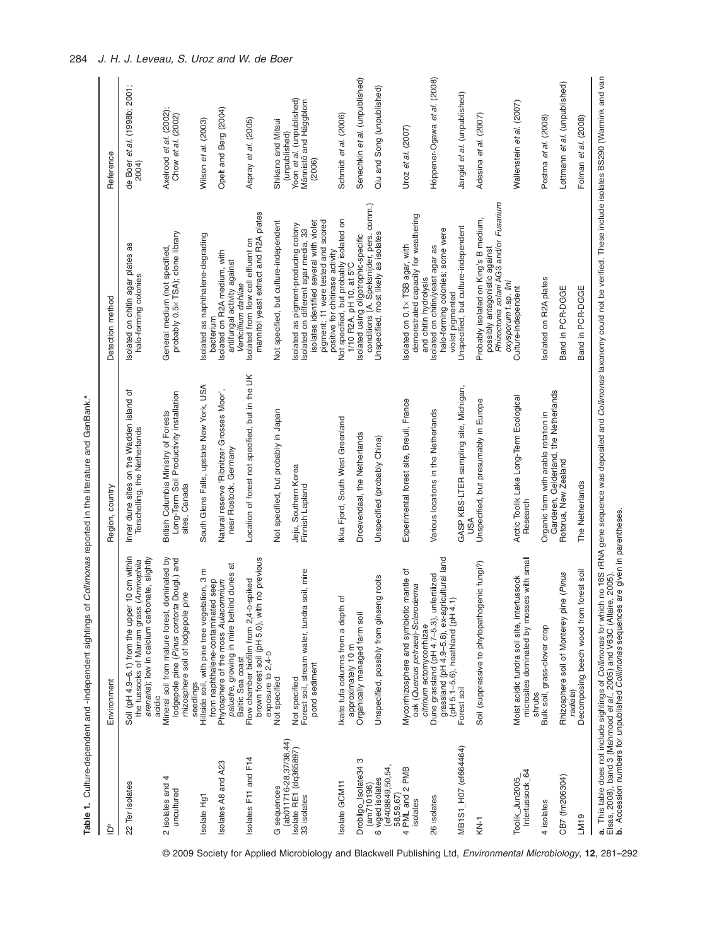| ₫                                                | Environment                                                                                                                                               | Region, country                                                                                   | Detection method                                                                                                                                              | Reference                                                    |
|--------------------------------------------------|-----------------------------------------------------------------------------------------------------------------------------------------------------------|---------------------------------------------------------------------------------------------------|---------------------------------------------------------------------------------------------------------------------------------------------------------------|--------------------------------------------------------------|
| 22 Ter isolates                                  | 10 cm within<br>arenaria); low in calcium carbonate, slightly<br>the tussocks of Marram grass (Ammophila<br>Soil (pH 4.9-6.1) from the upper<br>acidic    | Inner dune sites on the Wadden island of<br>Terschelling, the Netherlands                         | Isolated on chitin agar plates as<br>halo-forming colonies                                                                                                    | de Boer et al. (1998b; 2001;<br>2004)                        |
| 4<br>2 isolates and<br>uncultured                | Mineral soil from mature forest, dominated by<br>Dougl.) and<br><u>eqi</u><br>lodgepole pine (Pinus contorta<br>rhizosphere soil of lodgepole pi          | Long-Term Soil Productivity installation<br>British Columbia Ministry of Forests<br>sites, Canada | probably 0.5x TSA); clone library<br>General medium (not specified,                                                                                           | Axelrood et al. (2002);<br>Chow et al. (2002)                |
| Isolate Hg1                                      | Hillside soil, with pine tree vegetation, 3 m<br>from naphthalene-contaminated seep<br>seedlings                                                          | South Glens Falls, upstate New York, USA                                                          | Isolated as naphthalene-degrading<br>bacterium                                                                                                                | Wilson et al. (2003)                                         |
| Isolates A8 and A23                              | ಕ<br>palustre, growing in mire behind dunes<br>Phytosphere of the moss Aulacomnium<br>Baltic Sea coast                                                    | Natural reserve 'Ribnitzer Grosses Moor'<br>near Rostock, Germany                                 | Isolated on R2A medium, with<br>antifungal activity against<br>Verticillium dahliae                                                                           | Opelt and Berg (2004)                                        |
| Isolates F11 and F14                             | no previous<br>Flow chamber biofilm from 2,4-D-spiked<br>brown forest soil (pH 5.0), with<br>exposure to 2,4-D                                            | Location of forest not specified, but in the UK                                                   | mannitol yeast extract and R2A plates<br>Isolated from flow cell effluent on                                                                                  | Aspray et al. (2005)                                         |
| $(ab011716-28,37/38,44)$<br>G sequences          | Not specified                                                                                                                                             | Not specified, but probably in Japan                                                              | Not specified, but culture-independent                                                                                                                        | Shikano and Mitsui<br>(unpublished)                          |
| Isolate RE1 (dq365897)<br>33 isolates            | soil, mire<br>Forest soil, stream water, tundra<br>pond sediment<br>Not specified                                                                         | Jeju, Southern Korea<br>Finnish Lapland                                                           | isolates identified several with violet<br>pigment; 11 were tested and scored<br>lsolated as pigment-producing colony<br>Isolated on different agar media, 33 | Yoon et al. (unpublished)<br>Männistö and Häggblom<br>(2006) |
| Isolate GCM11                                    | ৳<br>Ikaite tufa columns from a depth<br>approximately 10 m                                                                                               | Ikka Fjord, South West Greenland                                                                  | Not specified, but probably isolated on<br>positive for chitinase activity<br>1/10 R2A, pH 10, at 5°C                                                         | Schmidt et al. (2006)                                        |
| ო<br>Drobligo Isolate34<br>(am710196)            | Organically managed farm soil                                                                                                                             | Droevendaal, the Netherlands                                                                      | comm.)<br>conditions (A. Speksnijder, pers.<br>Isolated using oligotrophic-specific                                                                           | Senechkin et al. (unpublished)                               |
| (ef408849,50,54,<br>6 wged isolates<br>58,59,67) | g roots<br>Unspecified, possibly from ginsen                                                                                                              | Unspecified (probably China)                                                                      | Unspecified, most likely as isolates                                                                                                                          | Qiu and Song (unpublished)                                   |
| 4 PML and 2 PMB<br>isolates                      | mantle of<br>oak (Quercus petraea)-Scleroderma<br>Mycorrhizosphere and symbiotic                                                                          | Experimental forest site, Breuil, France                                                          | demonstrated capacity for weathering<br>Isolated on 0.1x TSB agar, with                                                                                       | Uroz et al. $(2007)$                                         |
| 26 isolates                                      | grassland (pH 4.9–5.8), ex-agricultural land<br>(pH 5.1–5.6), heathland (pH 4.1)<br>Dune grassland (pH 4.7-5.3), unfertilized<br>citrinum ectomycorrhizae | Various locations in the Netherlands                                                              | halo-forming colonies; some were<br>Isolated on chitin/yeast agar as<br>and chitin hydrolysis<br>violet pigmented                                             | Höppener-Ogawa et al. (2008)                                 |
| MB1S1_H07 (ef664464)                             | Forest soil                                                                                                                                               | GASP KBS-LTER sampling site, Michigan,<br>USA                                                     | Unspecified, but culture-independent                                                                                                                          | Jangid et al. (unpublished)                                  |
| KN-1                                             | Soil (suppressive to phytopathogenic fungi?)                                                                                                              | Unspecified, but presumably in Europe                                                             | Rhizoctonia solani AG3 and/or Fusarium<br>Probably isolated on King's B medium,<br>possibly antagonistic against<br>oxysporum f.sp. lini                      | Adesina et al. (2007)                                        |
| Intertussock_64<br>Toolik_Jun2005                | ss with small<br>Moist acidic tundra soil site, intertussock<br>microsites dominated by mosse<br>shrubs                                                   | Arctic Toolik Lake Long-Term Ecological<br>Research                                               | Culture-independent                                                                                                                                           | Wallenstein et al. (2007)                                    |
| 4 isolates                                       | Bulk soil, grass-clover crop                                                                                                                              | Garderen, Gelderland, the Netherlands<br>Organic farm with arable rotation in                     | Isolated on R2A plates                                                                                                                                        | Postma et al. (2008)                                         |
| CB7 (fm206304)                                   | Rhizosphere soil of Monterey pine (Pinus<br>radiata                                                                                                       | Rotorua, New Zealand                                                                              | Band in PCR-DGGE                                                                                                                                              | Lottmann et al. (unpublished)                                |
| LM <sub>19</sub>                                 | Decomposing beech wood from forest soil                                                                                                                   | The Netherlands                                                                                   | Band in PCR-DGGE                                                                                                                                              | Folman et al. (2008)                                         |

Table 1. Culture-dependent and -independent sightings of Collimonas reported in the literature and GenBank.<sup>a</sup> **Table 1.** Culture-dependent and -independent sightings of *Collimonas* reported in the literature and GenBank.a

© 2009 Society for Applied Microbiology and Blackwell Publishing Ltd, *Environmental Microbiology*, **12**, 281–292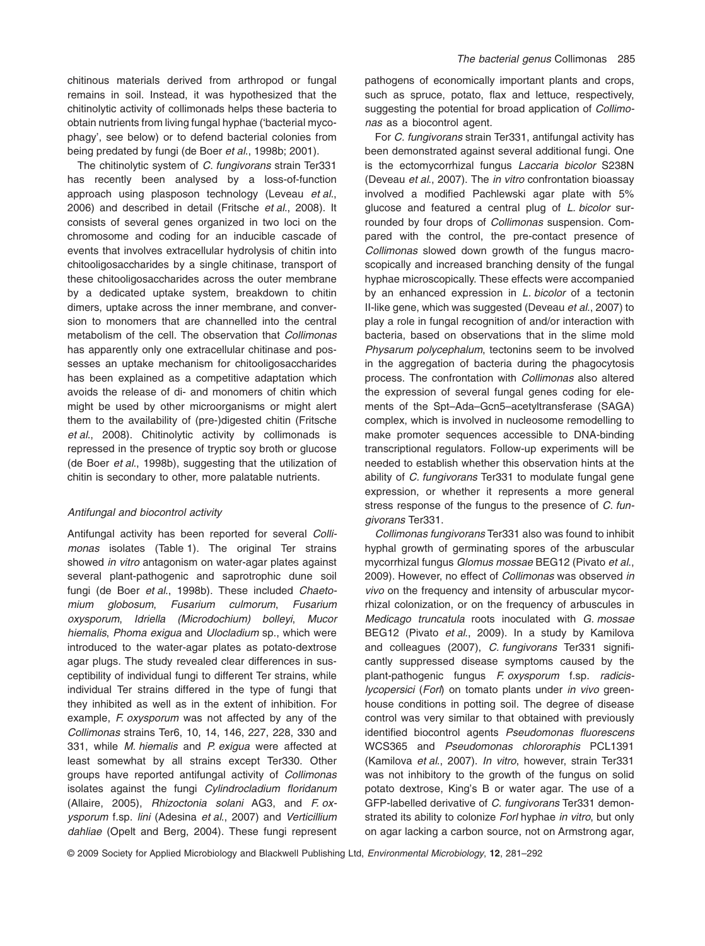chitinous materials derived from arthropod or fungal remains in soil. Instead, it was hypothesized that the chitinolytic activity of collimonads helps these bacteria to obtain nutrients from living fungal hyphae ('bacterial mycophagy', see below) or to defend bacterial colonies from being predated by fungi (de Boer *et al*., 1998b; 2001).

The chitinolytic system of *C. fungivorans* strain Ter331 has recently been analysed by a loss-of-function approach using plasposon technology (Leveau *et al*., 2006) and described in detail (Fritsche *et al*., 2008). It consists of several genes organized in two loci on the chromosome and coding for an inducible cascade of events that involves extracellular hydrolysis of chitin into chitooligosaccharides by a single chitinase, transport of these chitooligosaccharides across the outer membrane by a dedicated uptake system, breakdown to chitin dimers, uptake across the inner membrane, and conversion to monomers that are channelled into the central metabolism of the cell. The observation that *Collimonas* has apparently only one extracellular chitinase and possesses an uptake mechanism for chitooligosaccharides has been explained as a competitive adaptation which avoids the release of di- and monomers of chitin which might be used by other microorganisms or might alert them to the availability of (pre-)digested chitin (Fritsche *et al*., 2008). Chitinolytic activity by collimonads is repressed in the presence of tryptic soy broth or glucose (de Boer *et al*., 1998b), suggesting that the utilization of chitin is secondary to other, more palatable nutrients.

### *Antifungal and biocontrol activity*

Antifungal activity has been reported for several *Collimonas* isolates (Table 1). The original Ter strains showed *in vitro* antagonism on water-agar plates against several plant-pathogenic and saprotrophic dune soil fungi (de Boer *et al*., 1998b). These included *Chaetomium globosum*, *Fusarium culmorum*, *Fusarium oxysporum*, *Idriella (Microdochium) bolleyi*, *Mucor hiemalis*, *Phoma exigua* and *Ulocladium* sp., which were introduced to the water-agar plates as potato-dextrose agar plugs. The study revealed clear differences in susceptibility of individual fungi to different Ter strains, while individual Ter strains differed in the type of fungi that they inhibited as well as in the extent of inhibition. For example, *F. oxysporum* was not affected by any of the *Collimonas* strains Ter6, 10, 14, 146, 227, 228, 330 and 331, while *M. hiemalis* and *P. exigua* were affected at least somewhat by all strains except Ter330. Other groups have reported antifungal activity of *Collimonas* isolates against the fungi *Cylindrocladium floridanum* (Allaire, 2005), *Rhizoctonia solani* AG3, and *F. oxysporum* f.sp. *lini* (Adesina *et al*., 2007) and *Verticillium dahliae* (Opelt and Berg, 2004). These fungi represent

pathogens of economically important plants and crops, such as spruce, potato, flax and lettuce, respectively, suggesting the potential for broad application of *Collimonas* as a biocontrol agent.

For *C. fungivorans* strain Ter331, antifungal activity has been demonstrated against several additional fungi. One is the ectomycorrhizal fungus *Laccaria bicolor* S238N (Deveau *et al*., 2007). The *in vitro* confrontation bioassay involved a modified Pachlewski agar plate with 5% glucose and featured a central plug of *L. bicolor* surrounded by four drops of *Collimonas* suspension. Compared with the control, the pre-contact presence of *Collimonas* slowed down growth of the fungus macroscopically and increased branching density of the fungal hyphae microscopically. These effects were accompanied by an enhanced expression in *L. bicolor* of a tectonin II-like gene, which was suggested (Deveau *et al*., 2007) to play a role in fungal recognition of and/or interaction with bacteria, based on observations that in the slime mold *Physarum polycephalum*, tectonins seem to be involved in the aggregation of bacteria during the phagocytosis process. The confrontation with *Collimonas* also altered the expression of several fungal genes coding for elements of the Spt–Ada–Gcn5–acetyltransferase (SAGA) complex, which is involved in nucleosome remodelling to make promoter sequences accessible to DNA-binding transcriptional regulators. Follow-up experiments will be needed to establish whether this observation hints at the ability of *C. fungivorans* Ter331 to modulate fungal gene expression, or whether it represents a more general stress response of the fungus to the presence of *C. fungivorans* Ter331.

*Collimonas fungivorans* Ter331 also was found to inhibit hyphal growth of germinating spores of the arbuscular mycorrhizal fungus *Glomus mossae* BEG12 (Pivato *et al*., 2009). However, no effect of *Collimonas* was observed *in vivo* on the frequency and intensity of arbuscular mycorrhizal colonization, or on the frequency of arbuscules in *Medicago truncatula* roots inoculated with *G. mossae* BEG12 (Pivato *et al*., 2009). In a study by Kamilova and colleagues (2007), *C. fungivorans* Ter331 significantly suppressed disease symptoms caused by the plant-pathogenic fungus *F. oxysporum* f.sp. *radicislycopersici* (*Forl*) on tomato plants under *in vivo* greenhouse conditions in potting soil. The degree of disease control was very similar to that obtained with previously identified biocontrol agents *Pseudomonas fluorescens* WCS365 and *Pseudomonas chlororaphis* PCL1391 (Kamilova *et al*., 2007). *In vitro*, however, strain Ter331 was not inhibitory to the growth of the fungus on solid potato dextrose, King's B or water agar. The use of a GFP-labelled derivative of *C. fungivorans* Ter331 demonstrated its ability to colonize *Forl* hyphae *in vitro*, but only on agar lacking a carbon source, not on Armstrong agar,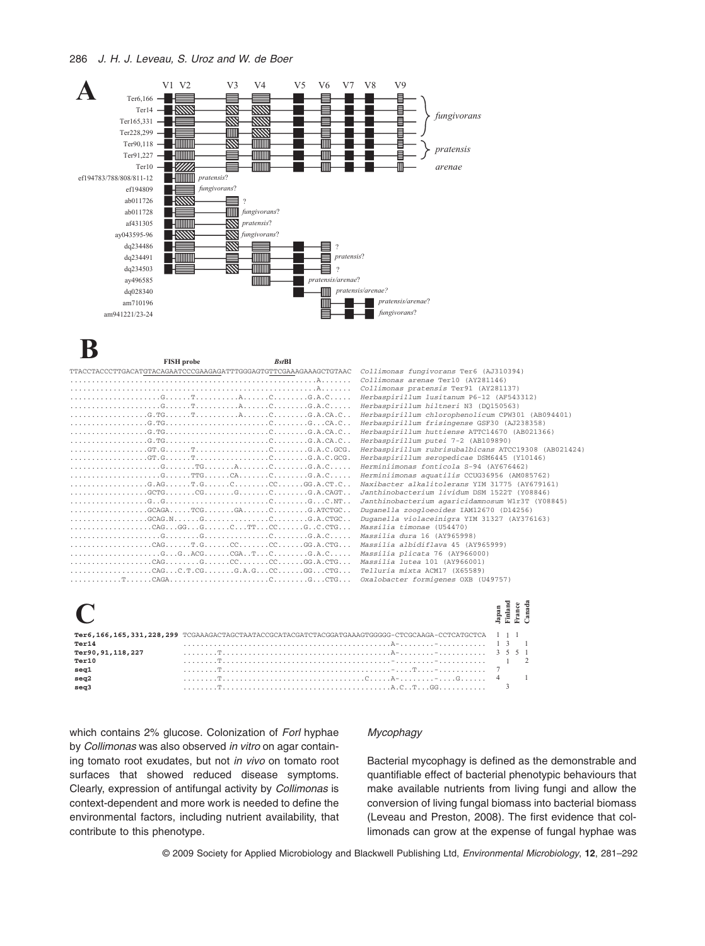



# **B**

| ┻ | <b>FISH</b> probe | BstBI                                                                                                                                                                                                                   |                                       |
|---|-------------------|-------------------------------------------------------------------------------------------------------------------------------------------------------------------------------------------------------------------------|---------------------------------------|
|   |                   |                                                                                                                                                                                                                         | Collimonas fungivorans Ter6 (AJ310394 |
|   |                   |                                                                                                                                                                                                                         | Collimonas arenae Ter10 (AY281146)    |
|   |                   |                                                                                                                                                                                                                         | Collimonas pratensis Ter91 (AY281137) |
|   |                   |                                                                                                                                                                                                                         | Herbaspirillum lusitanum P6-12 (AF543 |
|   |                   |                                                                                                                                                                                                                         | Herbaspirillum hiltneri N3 (DQ150563) |
|   |                   |                                                                                                                                                                                                                         | Herbaspirillum chlorophenolicum CPW30 |
|   |                   |                                                                                                                                                                                                                         | Herbaspirillum frisingense GSF30 (AJ2 |
|   |                   |                                                                                                                                                                                                                         | Herbaspirillum huttiense ATTC14670 (A |
|   |                   |                                                                                                                                                                                                                         | Herbaspirillum putei 7-2 (AB109890)   |
|   |                   | $\ldots \ldots \ldots \ldots \ldots \text{GT.G.}\ldots \text{Tr} \ldots \ldots \ldots \ldots \ldots \text{C.}\ldots \text{G.A.C.GCG}.$                                                                                  | Herbaspirillum rubrisubalbicans ATCC1 |
|   |                   | $\ldots \ldots \ldots \ldots \ldots \text{GT.GT}$                                                                                                                                                                       | Herbaspirillum seropedicae DSM6445 (Y |
|   |                   |                                                                                                                                                                                                                         | Herminiimonas fonticola S-94 (AY67646 |
|   |                   |                                                                                                                                                                                                                         | Herminiimonas aquatilis CCUG36956 (AM |
|   |                   |                                                                                                                                                                                                                         | Naxibacter alkalitolerans YIM 31775 ( |
|   |                   | $\ldots \ldots \ldots \ldots \ldots \text{GCTG} \ldots \ldots \text{CG} \ldots \ldots \text{G} \ldots \ldots \text{C} \ldots \ldots \text{G.A.CAGT} \ldots$                                                             | Janthinobacterium lividum DSM 1522T ( |
|   |                   |                                                                                                                                                                                                                         | Janthinobacterium agaricidamnosum Wlr |
|   |                   | $\ldots \ldots \ldots \ldots \ldots \text{GCAGA} \ldots \text{TCG} \ldots \ldots \text{GA} \ldots \text{C} \ldots \text{C} \ldots \text{G} \text{ATCTGC} \ldots$                                                        | Duganella zoogloeoides IAM12670 (D142 |
|   |                   | $\ldots \ldots \ldots \ldots \ldots \text{GCAG}.\text{N} \ldots \ldots \text{G} \ldots \ldots \ldots \ldots \text{G} \ldots \text{G} \ldots \text{G}.\text{A}.\text{CTGC}\ldots$                                        | Duganella violaceinigra YIM 31327 (AY |
|   |                   | $\ldots \ldots \ldots \ldots \ldots \ldots \text{CAG} \ldots \text{GG} \ldots \text{GG} \ldots \text{GG} \ldots \text{CT} \ldots \text{CT} \ldots \text{CT} \ldots \text{CT} \text{G} \ldots \text{CT} \text{G} \ldots$ | Massilia timonae (U54470)             |
|   |                   |                                                                                                                                                                                                                         | Massilia dura 16 (AY965998)           |
|   |                   | $\ldots \ldots \ldots \ldots \ldots \ldots \ldots \text{CAG} \ldots \ldots \text{T.G} \ldots \ldots \text{CC} \ldots \ldots \text{CC} \ldots \ldots \text{GG} \ldots \text{CTG} \ldots$                                 | Massilia albidiflava 45 (AY965999)    |
|   |                   | $\ldots, \ldots, \ldots, \ldots, \ldots, G \ldots, G \ldots G \ldots G \ldots, G G A \ldots T \ldots C \ldots, \ldots, G A \ldots \ldots$                                                                               | Massilia plicata 76 (AY966000)        |
|   |                   | $\ldots \ldots \ldots \ldots \ldots \ldots \text{CAG} \ldots \ldots \text{G} \ldots \ldots \text{C} \text{C} \ldots \ldots \text{C} \text{C} \ldots \ldots \text{GGA} \text{.} \text{CTG} \ldots$                       | Massilia lutea 101 (AY966001)         |
|   |                   | $\ldots \ldots \ldots \ldots \ldots \ldots \ldots \text{CAG} \ldots \text{C} \cdot \text{TC} \cdot \ldots \ldots \text{G}.$ A.G. $\ldots$ CC $\ldots \ldots \text{GG} \ldots \text{CTG} \ldots$                         | Telluria mixta ACM17 (X65589)         |
|   |                   |                                                                                                                                                                                                                         | Oxalobacter formigenes OXB (U49757)   |
|   |                   |                                                                                                                                                                                                                         |                                       |

a*s fungivorans* Ter6 (AJ310394) .....................G......T..........A......C........G.A.C..... *Herbaspirillum lusitanum* P6-12 (AF543312) .....................G......T..........A......C........G.A.C..... *Herbaspirillum hiltneri* N3 (DQ150563) ..................G.TG......T..........A......C........G.A.CA.C.. *Herbaspirillum chlorophenolicum* CPW301 (AB094401) ..................G.TG........................C........G...CA.C.. *Herbaspirillum frisingense* GSF30 (AJ238358) ..................G.TG........................C........G.A.CA.C.. *Herbaspirillum huttiense* ATTC14670 (AB021366) ..................G.TG........................C........G.A.CA.C.. *Herbaspirillum putei* 7-2 (AB109890) ..................GT.G......T.................C........G.A.C.GCG. *Herbaspirillum rubrisubalbicans* ATCC19308 (AB021424) ..................GT.G......T.................C........G.A.C.GCG. *Herbaspirillum seropedicae* DSM6445 (Y10146) .<br>m*onas fonticola* S-94 (AY676462) ...<br>monas aquatilis CCUG36956 (AM085762) ..................G.AG......T.G......C........CC......GG.A.CT.C.. *Naxibacter alkalitolerans* YIM 31775 (AY679161) ..................GCTG.......CG.......G.......C........G.A.CAGT.. *Janthinobacterium lividum* DSM 1522T (Y08846) ..................G..G........................C........G...C.NT.. *Janthinobacterium agaricidamnosum* W1r3T (Y08845) ..................GCAGA.....TCG.......GA......C........G.ATCTGC.. *Duganella zoogloeoides* IAM12670 (D14256) .<br>a violaceinigra YIM 31327 (AY376163) ...................CAG...GG...G......C...TT...CC......G..C.CTG... *Massilia timonae* (U54470) .....................G........G...............C........G.A.C..... *Massilia dura* 16 (AY965998) ...................CAG......T.G......CC.......CC......GG.A.CTG... *Massilia albidiflava* 45 (AY965999) .....................G...G..ACG......CGA..T...C........G.A.C..... *Massilia plicata* 76 (AY966000) .<br>lutea 101 (AY966001) ...................CAG...C.T.CG.......G.A.G...CC......GG...CTG... *Telluria mixta* ACM17 (X65589) ............T......CAGA.......................C........G...CTG... *Oxalobacter formigenes* OXB (U49757)

|                  | Ter6.166.165.331.228.299 TCGAAAGACTAGCTAATACCGCATACGATCTACGGATGAAAGTGGGG-CTCGCAAGA-CCTCATGCTCA 1 1 1 |  |
|------------------|------------------------------------------------------------------------------------------------------|--|
| Ter14            |                                                                                                      |  |
| Ter90,91,118,227 |                                                                                                      |  |
| Ter10            |                                                                                                      |  |
| seq1             |                                                                                                      |  |
| seq2             |                                                                                                      |  |
| sea:             |                                                                                                      |  |

which contains 2% glucose. Colonization of *Forl* hyphae by *Collimonas* was also observed *in vitro* on agar containing tomato root exudates, but not *in vivo* on tomato root surfaces that showed reduced disease symptoms. Clearly, expression of antifungal activity by *Collimonas* is context-dependent and more work is needed to define the environmental factors, including nutrient availability, that contribute to this phenotype.

## *Mycophagy*

Bacterial mycophagy is defined as the demonstrable and quantifiable effect of bacterial phenotypic behaviours that make available nutrients from living fungi and allow the conversion of living fungal biomass into bacterial biomass (Leveau and Preston, 2008). The first evidence that collimonads can grow at the expense of fungal hyphae was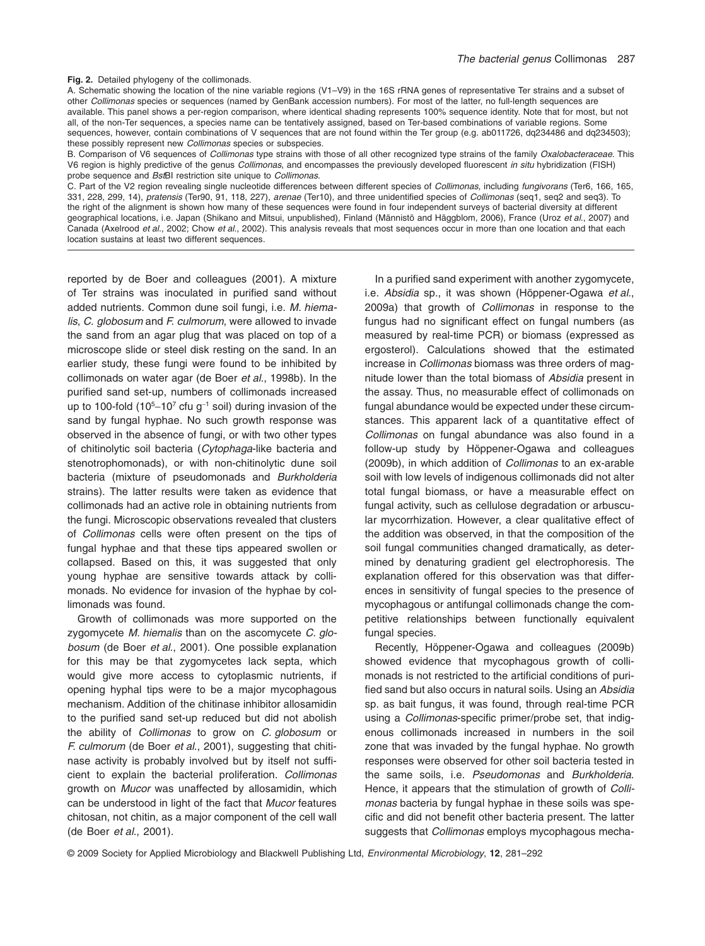**Fig. 2.** Detailed phylogeny of the collimonads.

A. Schematic showing the location of the nine variable regions (V1–V9) in the 16S rRNA genes of representative Ter strains and a subset of other *Collimonas* species or sequences (named by GenBank accession numbers). For most of the latter, no full-length sequences are available. This panel shows a per-region comparison, where identical shading represents 100% sequence identity. Note that for most, but not all, of the non-Ter sequences, a species name can be tentatively assigned, based on Ter-based combinations of variable regions. Some sequences, however, contain combinations of V sequences that are not found within the Ter group (e.g. ab011726, dq234486 and dq234503); these possibly represent new *Collimonas* species or subspecies.

B. Comparison of V6 sequences of *Collimonas* type strains with those of all other recognized type strains of the family *Oxalobacteraceae*. This V6 region is highly predictive of the genus *Collimonas*, and encompasses the previously developed fluorescent *in situ* hybridization (FISH) probe sequence and *Bst*BI restriction site unique to *Collimonas*.

C. Part of the V2 region revealing single nucleotide differences between different species of *Collimonas*, including *fungivorans* (Ter6, 166, 165, 331, 228, 299, 14), *pratensis* (Ter90, 91, 118, 227), *arenae* (Ter10), and three unidentified species of *Collimonas* (seq1, seq2 and seq3). To the right of the alignment is shown how many of these sequences were found in four independent surveys of bacterial diversity at different geographical locations, i.e. Japan (Shikano and Mitsui, unpublished), Finland (Männistö and Häggblom, 2006), France (Uroz *et al*., 2007) and Canada (Axelrood *et al*., 2002; Chow *et al*., 2002). This analysis reveals that most sequences occur in more than one location and that each location sustains at least two different sequences.

reported by de Boer and colleagues (2001). A mixture of Ter strains was inoculated in purified sand without added nutrients. Common dune soil fungi, i.e. *M. hiemalis*, *C. globosum* and *F. culmorum*, were allowed to invade the sand from an agar plug that was placed on top of a microscope slide or steel disk resting on the sand. In an earlier study, these fungi were found to be inhibited by collimonads on water agar (de Boer *et al*., 1998b). In the purified sand set-up, numbers of collimonads increased up to 100-fold (10<sup>5</sup>-10<sup>7</sup> cfu g<sup>-1</sup> soil) during invasion of the sand by fungal hyphae. No such growth response was observed in the absence of fungi, or with two other types of chitinolytic soil bacteria (*Cytophaga*-like bacteria and stenotrophomonads), or with non-chitinolytic dune soil bacteria (mixture of pseudomonads and *Burkholderia* strains). The latter results were taken as evidence that collimonads had an active role in obtaining nutrients from the fungi. Microscopic observations revealed that clusters of *Collimonas* cells were often present on the tips of fungal hyphae and that these tips appeared swollen or collapsed. Based on this, it was suggested that only young hyphae are sensitive towards attack by collimonads. No evidence for invasion of the hyphae by collimonads was found.

Growth of collimonads was more supported on the zygomycete *M. hiemalis* than on the ascomycete *C. globosum* (de Boer *et al*., 2001). One possible explanation for this may be that zygomycetes lack septa, which would give more access to cytoplasmic nutrients, if opening hyphal tips were to be a major mycophagous mechanism. Addition of the chitinase inhibitor allosamidin to the purified sand set-up reduced but did not abolish the ability of *Collimonas* to grow on *C. globosum* or *F. culmorum* (de Boer *et al*., 2001), suggesting that chitinase activity is probably involved but by itself not sufficient to explain the bacterial proliferation. *Collimonas* growth on *Mucor* was unaffected by allosamidin, which can be understood in light of the fact that *Mucor* features chitosan, not chitin, as a major component of the cell wall (de Boer *et al*., 2001).

In a purified sand experiment with another zygomycete, i.e. *Absidia* sp., it was shown (Höppener-Ogawa *et al*., 2009a) that growth of *Collimonas* in response to the fungus had no significant effect on fungal numbers (as measured by real-time PCR) or biomass (expressed as ergosterol). Calculations showed that the estimated increase in *Collimonas* biomass was three orders of magnitude lower than the total biomass of *Absidia* present in the assay. Thus, no measurable effect of collimonads on fungal abundance would be expected under these circumstances. This apparent lack of a quantitative effect of *Collimonas* on fungal abundance was also found in a follow-up study by Höppener-Ogawa and colleagues (2009b), in which addition of *Collimonas* to an ex-arable soil with low levels of indigenous collimonads did not alter total fungal biomass, or have a measurable effect on fungal activity, such as cellulose degradation or arbuscular mycorrhization. However, a clear qualitative effect of the addition was observed, in that the composition of the soil fungal communities changed dramatically, as determined by denaturing gradient gel electrophoresis. The explanation offered for this observation was that differences in sensitivity of fungal species to the presence of mycophagous or antifungal collimonads change the competitive relationships between functionally equivalent fungal species.

Recently, Höppener-Ogawa and colleagues (2009b) showed evidence that mycophagous growth of collimonads is not restricted to the artificial conditions of purified sand but also occurs in natural soils. Using an *Absidia* sp. as bait fungus, it was found, through real-time PCR using a *Collimonas*-specific primer/probe set, that indigenous collimonads increased in numbers in the soil zone that was invaded by the fungal hyphae. No growth responses were observed for other soil bacteria tested in the same soils, i.e. *Pseudomonas* and *Burkholderia*. Hence, it appears that the stimulation of growth of *Collimonas* bacteria by fungal hyphae in these soils was specific and did not benefit other bacteria present. The latter suggests that *Collimonas* employs mycophagous mecha-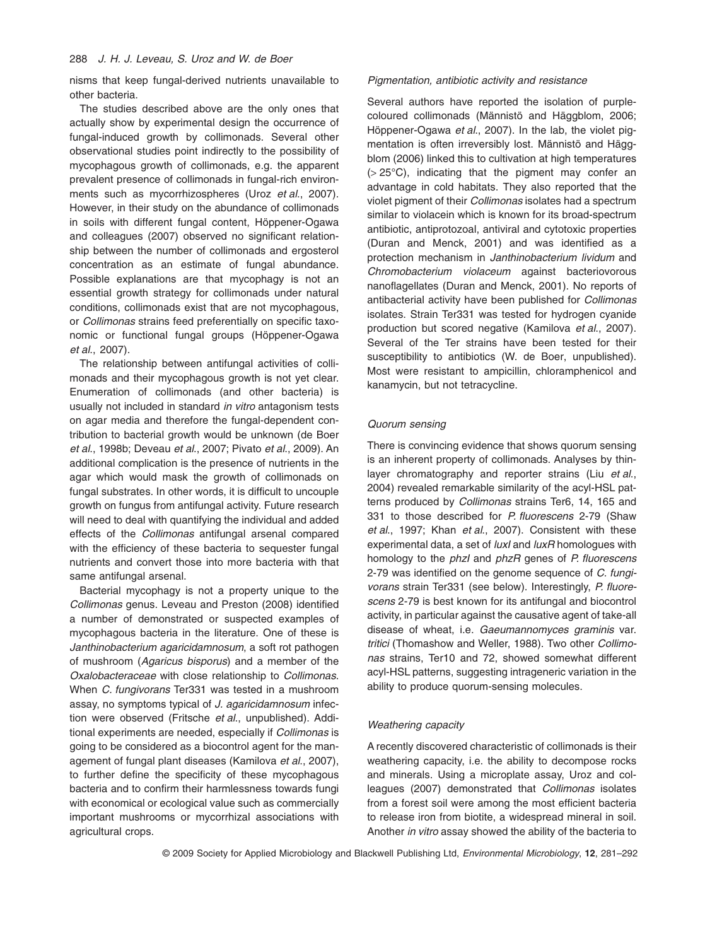nisms that keep fungal-derived nutrients unavailable to other bacteria.

The studies described above are the only ones that actually show by experimental design the occurrence of fungal-induced growth by collimonads. Several other observational studies point indirectly to the possibility of mycophagous growth of collimonads, e.g. the apparent prevalent presence of collimonads in fungal-rich environments such as mycorrhizospheres (Uroz *et al*., 2007). However, in their study on the abundance of collimonads in soils with different fungal content, Höppener-Ogawa and colleagues (2007) observed no significant relationship between the number of collimonads and ergosterol concentration as an estimate of fungal abundance. Possible explanations are that mycophagy is not an essential growth strategy for collimonads under natural conditions, collimonads exist that are not mycophagous, or *Collimonas* strains feed preferentially on specific taxonomic or functional fungal groups (Höppener-Ogawa *et al*., 2007).

The relationship between antifungal activities of collimonads and their mycophagous growth is not yet clear. Enumeration of collimonads (and other bacteria) is usually not included in standard *in vitro* antagonism tests on agar media and therefore the fungal-dependent contribution to bacterial growth would be unknown (de Boer *et al*., 1998b; Deveau *et al*., 2007; Pivato *et al*., 2009). An additional complication is the presence of nutrients in the agar which would mask the growth of collimonads on fungal substrates. In other words, it is difficult to uncouple growth on fungus from antifungal activity. Future research will need to deal with quantifying the individual and added effects of the *Collimonas* antifungal arsenal compared with the efficiency of these bacteria to sequester fungal nutrients and convert those into more bacteria with that same antifungal arsenal.

Bacterial mycophagy is not a property unique to the *Collimonas* genus. Leveau and Preston (2008) identified a number of demonstrated or suspected examples of mycophagous bacteria in the literature. One of these is *Janthinobacterium agaricidamnosum*, a soft rot pathogen of mushroom (*Agaricus bisporus*) and a member of the *Oxalobacteraceae* with close relationship to *Collimonas*. When *C. fungivorans* Ter331 was tested in a mushroom assay, no symptoms typical of *J. agaricidamnosum* infection were observed (Fritsche *et al*., unpublished). Additional experiments are needed, especially if *Collimonas* is going to be considered as a biocontrol agent for the management of fungal plant diseases (Kamilova *et al*., 2007), to further define the specificity of these mycophagous bacteria and to confirm their harmlessness towards fungi with economical or ecological value such as commercially important mushrooms or mycorrhizal associations with agricultural crops.

### *Pigmentation, antibiotic activity and resistance*

Several authors have reported the isolation of purplecoloured collimonads (Männistö and Häggblom, 2006; Höppener-Ogawa *et al*., 2007). In the lab, the violet pigmentation is often irreversibly lost. Männistö and Häggblom (2006) linked this to cultivation at high temperatures (> 25°C), indicating that the pigment may confer an advantage in cold habitats. They also reported that the violet pigment of their *Collimonas* isolates had a spectrum similar to violacein which is known for its broad-spectrum antibiotic, antiprotozoal, antiviral and cytotoxic properties (Duran and Menck, 2001) and was identified as a protection mechanism in *Janthinobacterium lividum* and *Chromobacterium violaceum* against bacteriovorous nanoflagellates (Duran and Menck, 2001). No reports of antibacterial activity have been published for *Collimonas* isolates. Strain Ter331 was tested for hydrogen cyanide production but scored negative (Kamilova *et al*., 2007). Several of the Ter strains have been tested for their susceptibility to antibiotics (W. de Boer, unpublished). Most were resistant to ampicillin, chloramphenicol and kanamycin, but not tetracycline.

### *Quorum sensing*

There is convincing evidence that shows quorum sensing is an inherent property of collimonads. Analyses by thinlayer chromatography and reporter strains (Liu *et al*., 2004) revealed remarkable similarity of the acyl-HSL patterns produced by *Collimonas* strains Ter6, 14, 165 and 331 to those described for *P. fluorescens* 2-79 (Shaw *et al*., 1997; Khan *et al*., 2007). Consistent with these experimental data, a set of *luxI* and *luxR* homologues with homology to the *phzI* and *phzR* genes of *P. fluorescens* 2-79 was identified on the genome sequence of *C. fungivorans* strain Ter331 (see below). Interestingly, *P. fluorescens* 2-79 is best known for its antifungal and biocontrol activity, in particular against the causative agent of take-all disease of wheat, i.e. *Gaeumannomyces graminis* var. *tritici* (Thomashow and Weller, 1988). Two other *Collimonas* strains, Ter10 and 72, showed somewhat different acyl-HSL patterns, suggesting intrageneric variation in the ability to produce quorum-sensing molecules.

### *Weathering capacity*

A recently discovered characteristic of collimonads is their weathering capacity, i.e. the ability to decompose rocks and minerals. Using a microplate assay, Uroz and colleagues (2007) demonstrated that *Collimonas* isolates from a forest soil were among the most efficient bacteria to release iron from biotite, a widespread mineral in soil. Another *in vitro* assay showed the ability of the bacteria to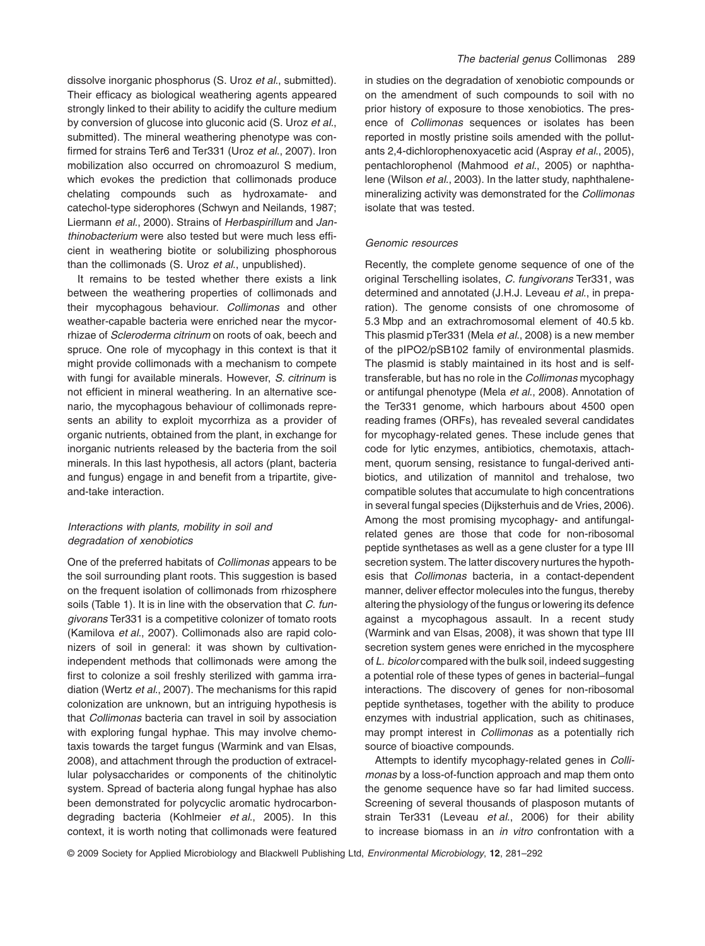dissolve inorganic phosphorus (S. Uroz *et al*., submitted). Their efficacy as biological weathering agents appeared strongly linked to their ability to acidify the culture medium by conversion of glucose into gluconic acid (S. Uroz *et al*., submitted). The mineral weathering phenotype was confirmed for strains Ter6 and Ter331 (Uroz *et al*., 2007). Iron mobilization also occurred on chromoazurol S medium, which evokes the prediction that collimonads produce chelating compounds such as hydroxamate- and catechol-type siderophores (Schwyn and Neilands, 1987; Liermann *et al*., 2000). Strains of *Herbaspirillum* and *Janthinobacterium* were also tested but were much less efficient in weathering biotite or solubilizing phosphorous than the collimonads (S. Uroz *et al*., unpublished).

It remains to be tested whether there exists a link between the weathering properties of collimonads and their mycophagous behaviour. *Collimonas* and other weather-capable bacteria were enriched near the mycorrhizae of *Scleroderma citrinum* on roots of oak, beech and spruce. One role of mycophagy in this context is that it might provide collimonads with a mechanism to compete with fungi for available minerals. However, *S. citrinum* is not efficient in mineral weathering. In an alternative scenario, the mycophagous behaviour of collimonads represents an ability to exploit mycorrhiza as a provider of organic nutrients, obtained from the plant, in exchange for inorganic nutrients released by the bacteria from the soil minerals. In this last hypothesis, all actors (plant, bacteria and fungus) engage in and benefit from a tripartite, giveand-take interaction.

# *Interactions with plants, mobility in soil and degradation of xenobiotics*

One of the preferred habitats of *Collimonas* appears to be the soil surrounding plant roots. This suggestion is based on the frequent isolation of collimonads from rhizosphere soils (Table 1). It is in line with the observation that *C. fungivorans* Ter331 is a competitive colonizer of tomato roots (Kamilova *et al*., 2007). Collimonads also are rapid colonizers of soil in general: it was shown by cultivationindependent methods that collimonads were among the first to colonize a soil freshly sterilized with gamma irradiation (Wertz *et al*., 2007). The mechanisms for this rapid colonization are unknown, but an intriguing hypothesis is that *Collimonas* bacteria can travel in soil by association with exploring fungal hyphae. This may involve chemotaxis towards the target fungus (Warmink and van Elsas, 2008), and attachment through the production of extracellular polysaccharides or components of the chitinolytic system. Spread of bacteria along fungal hyphae has also been demonstrated for polycyclic aromatic hydrocarbondegrading bacteria (Kohlmeier *et al*., 2005). In this context, it is worth noting that collimonads were featured

in studies on the degradation of xenobiotic compounds or on the amendment of such compounds to soil with no prior history of exposure to those xenobiotics. The presence of *Collimonas* sequences or isolates has been reported in mostly pristine soils amended with the pollutants 2,4-dichlorophenoxyacetic acid (Aspray *et al*., 2005), pentachlorophenol (Mahmood *et al*., 2005) or naphthalene (Wilson *et al*., 2003). In the latter study, naphthalenemineralizing activity was demonstrated for the *Collimonas* isolate that was tested.

### *Genomic resources*

Recently, the complete genome sequence of one of the original Terschelling isolates, *C. fungivorans* Ter331, was determined and annotated (J.H.J. Leveau *et al*., in preparation). The genome consists of one chromosome of 5.3 Mbp and an extrachromosomal element of 40.5 kb. This plasmid pTer331 (Mela *et al*., 2008) is a new member of the pIPO2/pSB102 family of environmental plasmids. The plasmid is stably maintained in its host and is selftransferable, but has no role in the *Collimonas* mycophagy or antifungal phenotype (Mela *et al*., 2008). Annotation of the Ter331 genome, which harbours about 4500 open reading frames (ORFs), has revealed several candidates for mycophagy-related genes. These include genes that code for lytic enzymes, antibiotics, chemotaxis, attachment, quorum sensing, resistance to fungal-derived antibiotics, and utilization of mannitol and trehalose, two compatible solutes that accumulate to high concentrations in several fungal species (Dijksterhuis and de Vries, 2006). Among the most promising mycophagy- and antifungalrelated genes are those that code for non-ribosomal peptide synthetases as well as a gene cluster for a type III secretion system. The latter discovery nurtures the hypothesis that *Collimonas* bacteria, in a contact-dependent manner, deliver effector molecules into the fungus, thereby altering the physiology of the fungus or lowering its defence against a mycophagous assault. In a recent study (Warmink and van Elsas, 2008), it was shown that type III secretion system genes were enriched in the mycosphere of *L. bicolor* compared with the bulk soil, indeed suggesting a potential role of these types of genes in bacterial–fungal interactions. The discovery of genes for non-ribosomal peptide synthetases, together with the ability to produce enzymes with industrial application, such as chitinases, may prompt interest in *Collimonas* as a potentially rich source of bioactive compounds.

Attempts to identify mycophagy-related genes in *Collimonas* by a loss-of-function approach and map them onto the genome sequence have so far had limited success. Screening of several thousands of plasposon mutants of strain Ter331 (Leveau *et al*., 2006) for their ability to increase biomass in an *in vitro* confrontation with a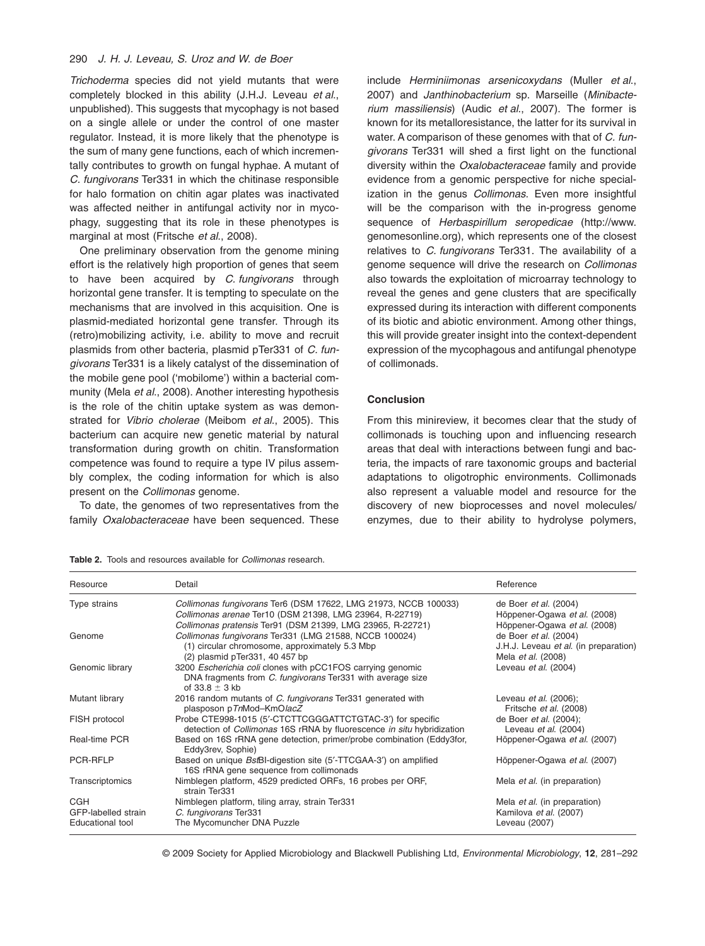*Trichoderma* species did not yield mutants that were completely blocked in this ability (J.H.J. Leveau *et al*., unpublished). This suggests that mycophagy is not based on a single allele or under the control of one master regulator. Instead, it is more likely that the phenotype is the sum of many gene functions, each of which incrementally contributes to growth on fungal hyphae. A mutant of *C. fungivorans* Ter331 in which the chitinase responsible for halo formation on chitin agar plates was inactivated was affected neither in antifungal activity nor in mycophagy, suggesting that its role in these phenotypes is marginal at most (Fritsche *et al*., 2008).

One preliminary observation from the genome mining effort is the relatively high proportion of genes that seem to have been acquired by *C. fungivorans* through horizontal gene transfer. It is tempting to speculate on the mechanisms that are involved in this acquisition. One is plasmid-mediated horizontal gene transfer. Through its (retro)mobilizing activity, i.e. ability to move and recruit plasmids from other bacteria, plasmid pTer331 of *C. fungivorans* Ter331 is a likely catalyst of the dissemination of the mobile gene pool ('mobilome') within a bacterial community (Mela *et al*., 2008). Another interesting hypothesis is the role of the chitin uptake system as was demonstrated for *Vibrio cholerae* (Meibom *et al*., 2005). This bacterium can acquire new genetic material by natural transformation during growth on chitin. Transformation competence was found to require a type IV pilus assembly complex, the coding information for which is also present on the *Collimonas* genome.

To date, the genomes of two representatives from the family *Oxalobacteraceae* have been sequenced. These

include *Herminiimonas arsenicoxydans* (Muller *et al*., 2007) and *Janthinobacterium* sp. Marseille (*Minibacterium massiliensis*) (Audic *et al*., 2007). The former is known for its metalloresistance, the latter for its survival in water. A comparison of these genomes with that of *C. fungivorans* Ter331 will shed a first light on the functional diversity within the *Oxalobacteraceae* family and provide evidence from a genomic perspective for niche specialization in the genus *Collimonas*. Even more insightful will be the comparison with the in-progress genome sequence of *Herbaspirillum seropedicae* [\(http://www.](http://www.genomesonline.org) [genomesonline.org\)](http://www.genomesonline.org), which represents one of the closest relatives to *C. fungivorans* Ter331. The availability of a genome sequence will drive the research on *Collimonas* also towards the exploitation of microarray technology to reveal the genes and gene clusters that are specifically expressed during its interaction with different components of its biotic and abiotic environment. Among other things, this will provide greater insight into the context-dependent expression of the mycophagous and antifungal phenotype of collimonads.

# **Conclusion**

From this minireview, it becomes clear that the study of collimonads is touching upon and influencing research areas that deal with interactions between fungi and bacteria, the impacts of rare taxonomic groups and bacterial adaptations to oligotrophic environments. Collimonads also represent a valuable model and resource for the discovery of new bioprocesses and novel molecules/ enzymes, due to their ability to hydrolyse polymers,

**Table 2.** Tools and resources available for *Collimonas* research.

| Resource            | Detail                                                                                                                                         | Reference                                                                            |
|---------------------|------------------------------------------------------------------------------------------------------------------------------------------------|--------------------------------------------------------------------------------------|
| Type strains        | Collimonas fungivorans Ter6 (DSM 17622, LMG 21973, NCCB 100033)<br>Collimonas arenae Ter10 (DSM 21398, LMG 23964, R-22719)                     | de Boer <i>et al.</i> (2004)<br>Höppener-Ogawa et al. (2008)                         |
|                     | Collimonas pratensis Ter91 (DSM 21399, LMG 23965, R-22721)                                                                                     | Höppener-Ogawa et al. (2008)                                                         |
| Genome              | Collimonas fungivorans Ter331 (LMG 21588, NCCB 100024)<br>(1) circular chromosome, approximately 5.3 Mbp<br>(2) plasmid pTer331, 40 457 bp     | de Boer et al. (2004)<br>J.H.J. Leveau et al. (in preparation)<br>Mela et al. (2008) |
| Genomic library     | 3200 Escherichia coli clones with pCC1FOS carrying genomic<br>DNA fragments from C. fungivorans Ter331 with average size<br>of 33.8 $\pm$ 3 kb | Leveau et al. (2004)                                                                 |
| Mutant library      | 2016 random mutants of C. fungivorans Ter331 generated with<br>plasposon pTnMod-KmOlacZ                                                        | Leveau <i>et al.</i> (2006);<br>Fritsche et al. (2008)                               |
| FISH protocol       | Probe CTE998-1015 (5'-CTCTTCGGGATTCTGTAC-3') for specific<br>detection of Collimonas 16S rRNA by fluorescence in situ hybridization            | de Boer et al. (2004);<br>Leveau et al. (2004)                                       |
| Real-time PCR       | Based on 16S rRNA gene detection, primer/probe combination (Eddy3for,<br>Eddy3rev, Sophie)                                                     | Höppener-Ogawa et al. (2007)                                                         |
| PCR-RFLP            | Based on unique <i>Bst</i> BI-digestion site (5'-TTCGAA-3') on amplified<br>16S rRNA gene sequence from collimonads                            | Höppener-Ogawa et al. (2007)                                                         |
| Transcriptomics     | Nimblegen platform, 4529 predicted ORFs, 16 probes per ORF,<br>strain Ter331                                                                   | Mela <i>et al.</i> (in preparation)                                                  |
| <b>CGH</b>          | Nimblegen platform, tiling array, strain Ter331                                                                                                | Mela et al. (in preparation)                                                         |
| GFP-labelled strain | C. fungivorans Ter331                                                                                                                          | Kamilova et al. (2007)                                                               |
| Educational tool    | The Mycomuncher DNA Puzzle                                                                                                                     | Leveau (2007)                                                                        |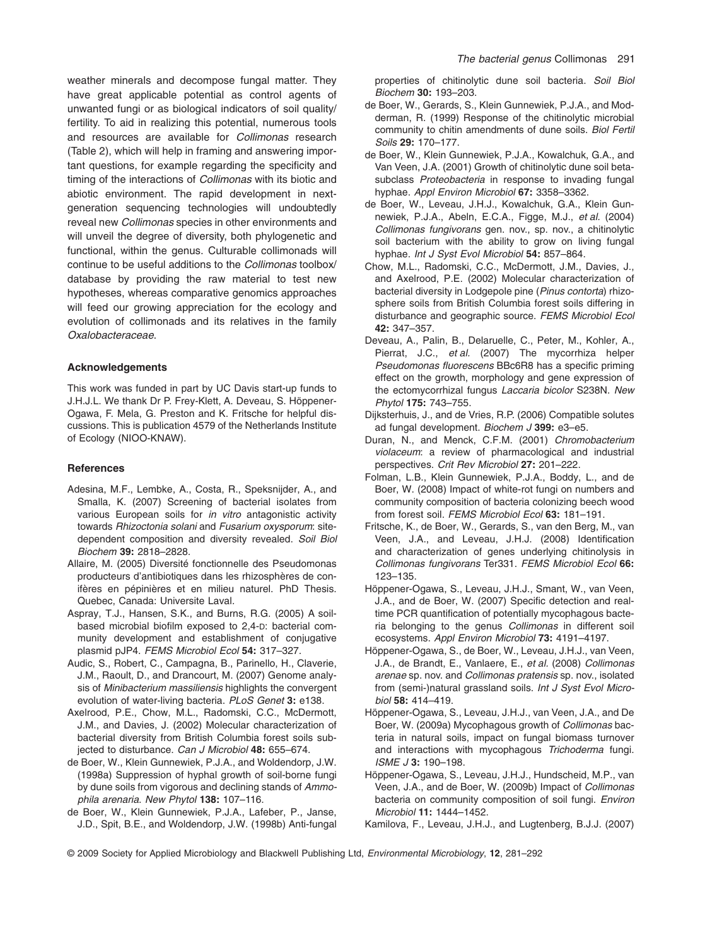weather minerals and decompose fungal matter. They have great applicable potential as control agents of unwanted fungi or as biological indicators of soil quality/ fertility. To aid in realizing this potential, numerous tools and resources are available for *Collimonas* research (Table 2), which will help in framing and answering important questions, for example regarding the specificity and timing of the interactions of *Collimonas* with its biotic and abiotic environment. The rapid development in nextgeneration sequencing technologies will undoubtedly reveal new *Collimonas* species in other environments and will unveil the degree of diversity, both phylogenetic and functional, within the genus. Culturable collimonads will continue to be useful additions to the *Collimonas* toolbox/ database by providing the raw material to test new hypotheses, whereas comparative genomics approaches will feed our growing appreciation for the ecology and evolution of collimonads and its relatives in the family *Oxalobacteraceae*.

### **Acknowledgements**

This work was funded in part by UC Davis start-up funds to J.H.J.L. We thank Dr P. Frey-Klett, A. Deveau, S. Höppener-Ogawa, F. Mela, G. Preston and K. Fritsche for helpful discussions. This is publication 4579 of the Netherlands Institute of Ecology (NIOO-KNAW).

#### **References**

- Adesina, M.F., Lembke, A., Costa, R., Speksnijder, A., and Smalla, K. (2007) Screening of bacterial isolates from various European soils for *in vitro* antagonistic activity towards *Rhizoctonia solani* and *Fusarium oxysporum*: sitedependent composition and diversity revealed. *Soil Biol Biochem* **39:** 2818–2828.
- Allaire, M. (2005) Diversité fonctionnelle des Pseudomonas producteurs d'antibiotiques dans les rhizosphères de conifères en pépinières et en milieu naturel. PhD Thesis. Quebec, Canada: Universite Laval*.*
- Aspray, T.J., Hansen, S.K., and Burns, R.G. (2005) A soilbased microbial biofilm exposed to 2,4-D: bacterial community development and establishment of conjugative plasmid pJP4. *FEMS Microbiol Ecol* **54:** 317–327.
- Audic, S., Robert, C., Campagna, B., Parinello, H., Claverie, J.M., Raoult, D., and Drancourt, M. (2007) Genome analysis of *Minibacterium massiliensis* highlights the convergent evolution of water-living bacteria. *PLoS Genet* **3:** e138.
- Axelrood, P.E., Chow, M.L., Radomski, C.C., McDermott, J.M., and Davies, J. (2002) Molecular characterization of bacterial diversity from British Columbia forest soils subjected to disturbance. *Can J Microbiol* **48:** 655–674.
- de Boer, W., Klein Gunnewiek, P.J.A., and Woldendorp, J.W. (1998a) Suppression of hyphal growth of soil-borne fungi by dune soils from vigorous and declining stands of *Ammophila arenaria*. *New Phytol* **138:** 107–116.
- de Boer, W., Klein Gunnewiek, P.J.A., Lafeber, P., Janse, J.D., Spit, B.E., and Woldendorp, J.W. (1998b) Anti-fungal

properties of chitinolytic dune soil bacteria. *Soil Biol Biochem* **30:** 193–203.

- de Boer, W., Gerards, S., Klein Gunnewiek, P.J.A., and Modderman, R. (1999) Response of the chitinolytic microbial community to chitin amendments of dune soils. *Biol Fertil Soils* **29:** 170–177.
- de Boer, W., Klein Gunnewiek, P.J.A., Kowalchuk, G.A., and Van Veen, J.A. (2001) Growth of chitinolytic dune soil betasubclass *Proteobacteria* in response to invading fungal hyphae. *Appl Environ Microbiol* **67:** 3358–3362.
- de Boer, W., Leveau, J.H.J., Kowalchuk, G.A., Klein Gunnewiek, P.J.A., Abeln, E.C.A., Figge, M.J., *et al.* (2004) *Collimonas fungivorans* gen. nov., sp. nov., a chitinolytic soil bacterium with the ability to grow on living fungal hyphae. *Int J Syst Evol Microbiol* **54:** 857–864.
- Chow, M.L., Radomski, C.C., McDermott, J.M., Davies, J., and Axelrood, P.E. (2002) Molecular characterization of bacterial diversity in Lodgepole pine (*Pinus contorta*) rhizosphere soils from British Columbia forest soils differing in disturbance and geographic source. *FEMS Microbiol Ecol* **42:** 347–357.
- Deveau, A., Palin, B., Delaruelle, C., Peter, M., Kohler, A., Pierrat, J.C., *et al.* (2007) The mycorrhiza helper *Pseudomonas fluorescens* BBc6R8 has a specific priming effect on the growth, morphology and gene expression of the ectomycorrhizal fungus *Laccaria bicolor* S238N. *New Phytol* **175:** 743–755.
- Dijksterhuis, J., and de Vries, R.P. (2006) Compatible solutes ad fungal development. *Biochem J* **399:** e3–e5.
- Duran, N., and Menck, C.F.M. (2001) *Chromobacterium violaceum*: a review of pharmacological and industrial perspectives. *Crit Rev Microbiol* **27:** 201–222.
- Folman, L.B., Klein Gunnewiek, P.J.A., Boddy, L., and de Boer, W. (2008) Impact of white-rot fungi on numbers and community composition of bacteria colonizing beech wood from forest soil. *FEMS Microbiol Ecol* **63:** 181–191.
- Fritsche, K., de Boer, W., Gerards, S., van den Berg, M., van Veen, J.A., and Leveau, J.H.J. (2008) Identification and characterization of genes underlying chitinolysis in *Collimonas fungivorans* Ter331. *FEMS Microbiol Ecol* **66:** 123–135.
- Höppener-Ogawa, S., Leveau, J.H.J., Smant, W., van Veen, J.A., and de Boer, W. (2007) Specific detection and realtime PCR quantification of potentially mycophagous bacteria belonging to the genus *Collimonas* in different soil ecosystems. *Appl Environ Microbiol* **73:** 4191–4197.
- Höppener-Ogawa, S., de Boer, W., Leveau, J.H.J., van Veen, J.A., de Brandt, E., Vanlaere, E., *et al.* (2008) *Collimonas arenae* sp. nov. and *Collimonas pratensis* sp. nov., isolated from (semi-)natural grassland soils. *Int J Syst Evol Microbiol* **58:** 414–419.
- Höppener-Ogawa, S., Leveau, J.H.J., van Veen, J.A., and De Boer, W. (2009a) Mycophagous growth of *Collimonas* bacteria in natural soils, impact on fungal biomass turnover and interactions with mycophagous *Trichoderma* fungi. *ISME J* **3:** 190–198.
- Höppener-Ogawa, S., Leveau, J.H.J., Hundscheid, M.P., van Veen, J.A., and de Boer, W. (2009b) Impact of *Collimonas* bacteria on community composition of soil fungi. *Environ Microbiol* **11:** 1444–1452.
- Kamilova, F., Leveau, J.H.J., and Lugtenberg, B.J.J. (2007)
- © 2009 Society for Applied Microbiology and Blackwell Publishing Ltd, *Environmental Microbiology*, **12**, 281–292